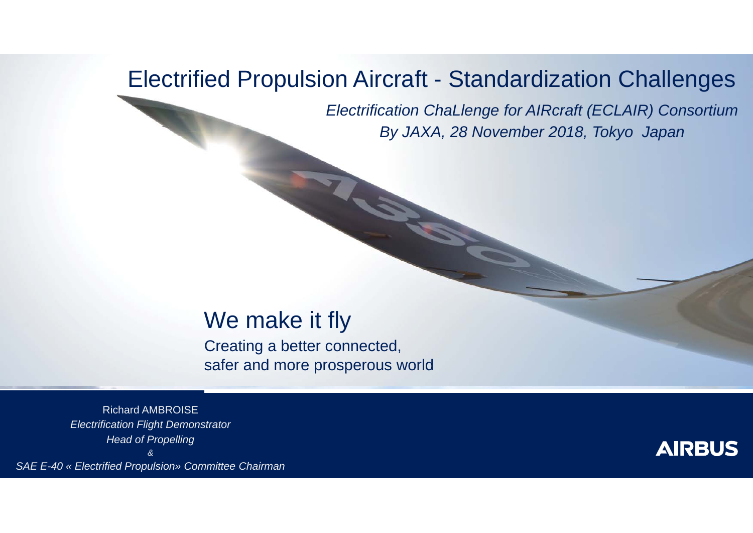## Electrified Propulsion Aircraft - Standardization Challenges

*Electrification ChaLlenge for AIRcraft (ECLAIR) Consortium By JAXA, 28 November 2018, Tokyo Japan*

## We make it fly

Creating a better connected, safer and more prosperous world

Richard AMBROISE *Electrification Flight Demonstrator Head of Propelling &SAE E-40 « Electrified Propulsion» Committee Chairman*

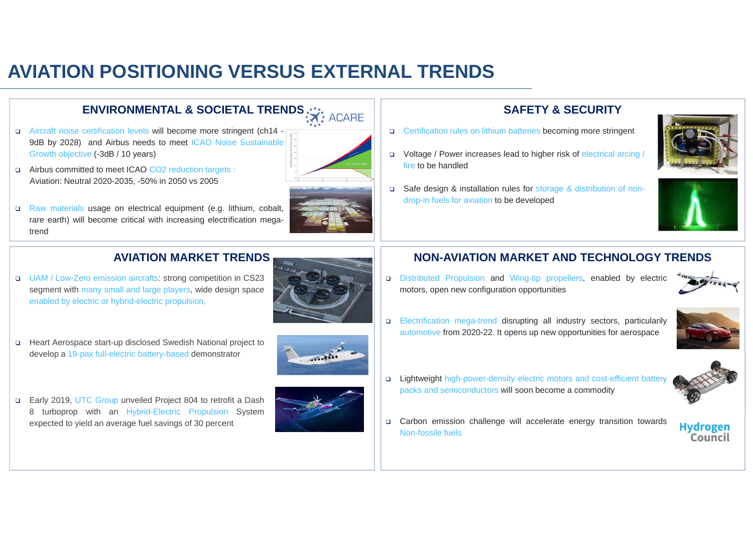## **AVIATION POSITIONING VERSUS EXTERNAL TRENDS**

## **ENVIRONMENTAL & SOCIETAL TRENDS**

- Aircraft noise certification levels will become more stringent (ch14 9dB by 2028) and Airbus needs to meet ICAO Noise Sustainable Growth objective (-3dB / 10 years)
- Airbus committed to meet ICAO CO2 reduction targets : Aviation: Neutral 2020-2035, -50% in 2050 vs 2005

enabled by electric or hybrid-electric propulsion,

□ Raw materials usage on electrical equipment (e.g. lithium, cobalt, rare earth) will become critical with increasing electrification megatrend

#### **AVIATION MARKET TRENDS** UAM / Low-Zero emission aircrafts: strong competition in CS23 segment with many small and large players, wide design space

 Heart Aerospace start-up disclosed Swedish National project to develop <sup>a</sup> 19-pax full-electric battery-based demonstrator



Early 2019, UTC Group unveiled Project 804 to retrofit a Dash 8 turboprop with an Hybrid-Electric Propulsion System expected to yield an average fuel savings of 30 percent



#### **SAFETY & SECURITY**

- □ Certification rules on lithium batteries becoming more stringent
- □ Voltage / Power increases lead to higher risk of electrical arcing / fire to be handled
- □ Safe design & installation rules for storage & distribution of nondrop-in fuels for aviation to be developed





#### **NON-AVIATION MARKET AND TECHNOLOGY TRENDS**

 Distributed Propulsion and Wing-tip propellers, enabled by electric motors, open new configuration opportunities



 $\Box$  Electrification mega-trend disrupting all industry sectors, particularily automotive from 2020-22. It opens up new opportunities for aerospace



- □ Lightweight high-power-density electric motors and cost-efficient battery packs and semiconductors will soon become <sup>a</sup> commodity
- □ Carbon emission challenge will accelerate energy transition towards Non-fossile fuels



#### **Hydrogen** Council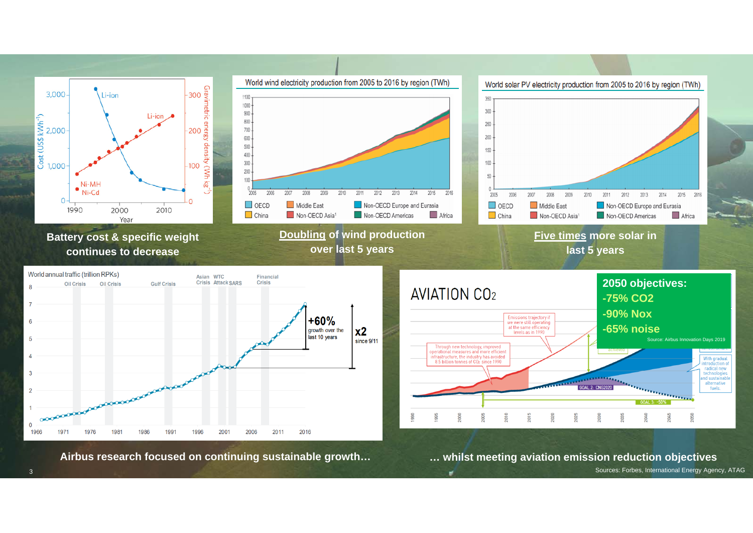

Sources: Forbes, International Energy Agency, ATAG

3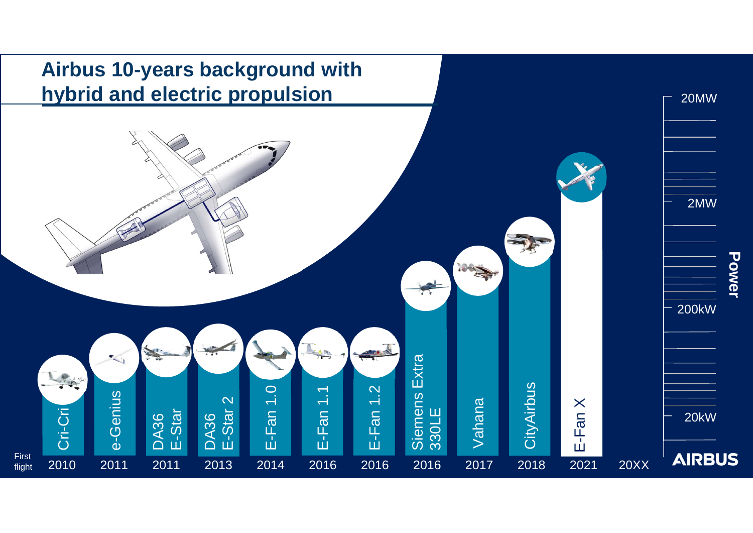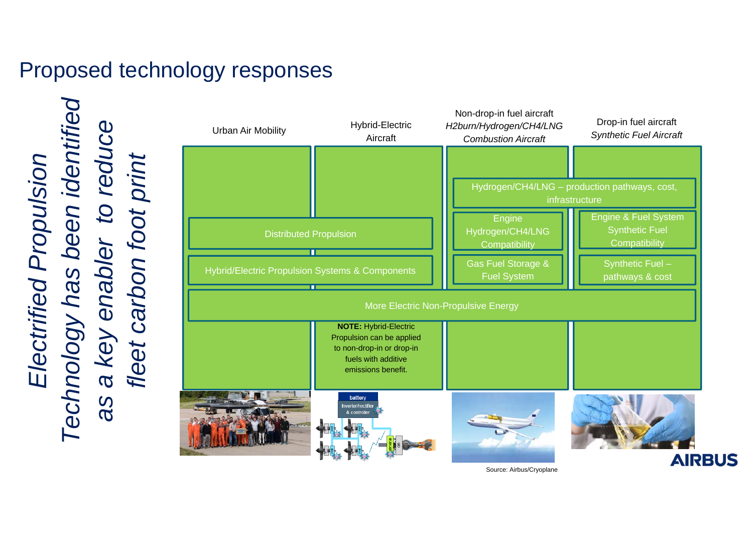## Proposed technology responses

*Technology has been identified*  Technology has been identified<br>as a key enabler to reduce *as a key enabler to reduce Electrified Propulsion*  fleet carbon foot print *fleet carbon foot print***Electrified Propulsion** 



Source: Airbus/Cryoplane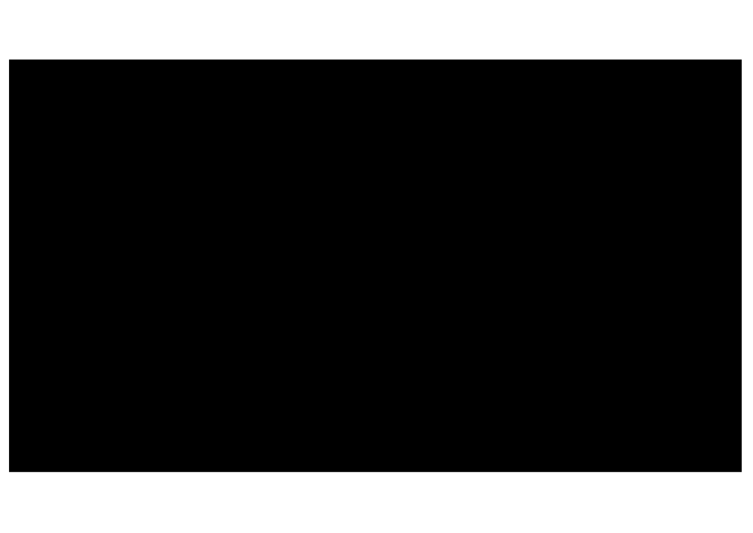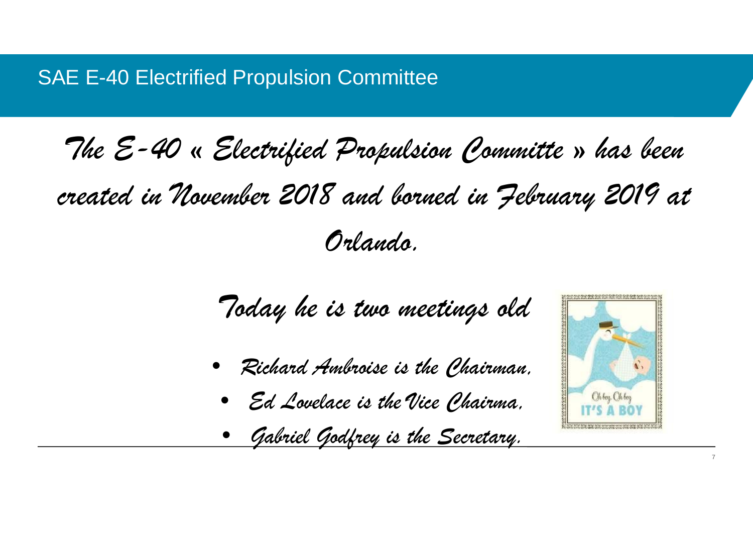## *The E-40 « Electrified Propulsion Committe » has been*

*created in November 2018 and borned in February 2019 at Orlando.*

## *Today he is two meetings old*

- *Richard Ambroise is the Chairman,*
	- *Ed Lovelace is the Vice Chairma,*
	- *Gabriel Godfrey is the Secretary.*

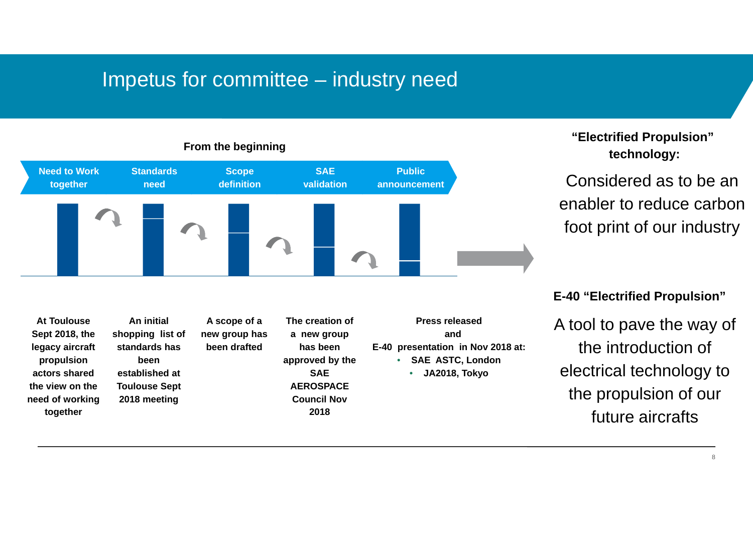## Impetus for committee – industry need



#### **"Electrified Propulsion" technology:**

Considered as to be an enabler to reduce carbon foot print of our industry

**At Toulouse Sept 2018, the legacy aircraft propulsion actors shared the view on the need of working together**

**An initial shopping list of standards has been established at Toulouse Sept 2018 meeting**

**A scope of a new group has been drafted** 

**The creation of a new group has been approved by the SAE AEROSPACE Council Nov 2018**

**Press released andE-40 presentation in Nov 2018 at:** •**SAE ASTC, London** 

• **JA2018, Tokyo**

#### **E-40 "Electrified Propulsion"**

A tool to pave the way of the introduction of electrical technology to the propulsion of our future aircrafts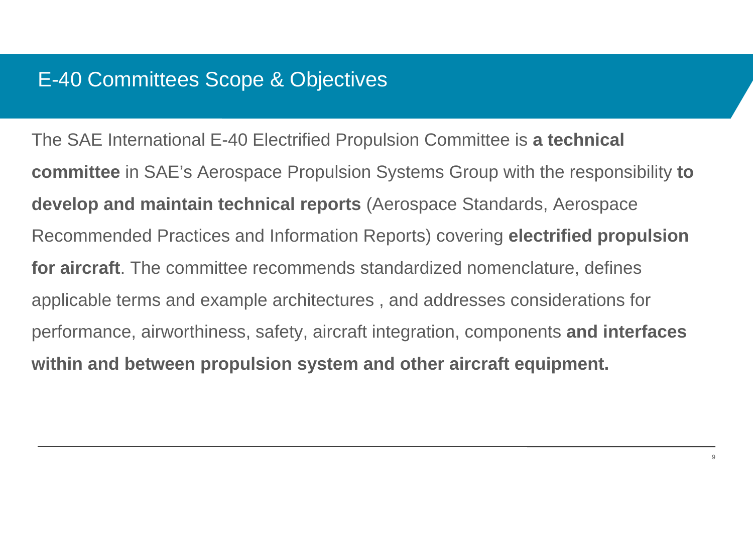## E-40 Committees Scope & Objectives

The SAE International E-40 Electrified Propulsion Committee is **a technical committee** in SAE's Aerospace Propulsion Systems Group with the responsibility **to develop and maintain technical reports** (Aerospace Standards, Aerospace Recommended Practices and Information Reports) covering **electrified propulsion for aircraft**. The committee recommends standardized nomenclature, defines applicable terms and example architectures , and addresses considerations for performance, airworthiness, safety, aircraft integration, components **and interfaces within and between propulsion system and other aircraft equipment.**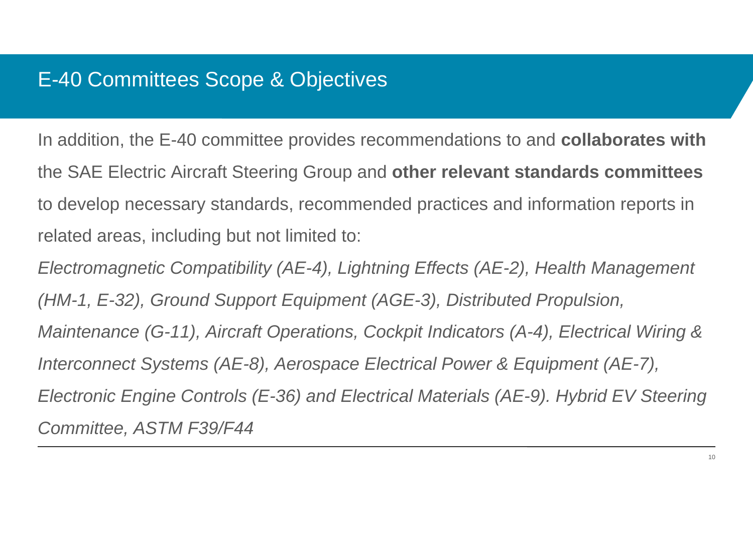## E-40 Committees Scope & Objectives

In addition, the E-40 committee provides recommendations to and **collaborates with**  the SAE Electric Aircraft Steering Group and **other relevant standards committees**  to develop necessary standards, recommended practices and information reports in related areas, including but not limited to:

*Electromagnetic Compatibility (AE-4), Lightning Effects (AE-2), Health Management (HM-1, E-32), Ground Support Equipment (AGE-3), Distributed Propulsion, Maintenance (G-11), Aircraft Operations, Cockpit Indicators (A-4), Electrical Wiring & Interconnect Systems (AE-8), Aerospace Electrical Power & Equipment (AE-7), Electronic Engine Controls (E-36) and Electrical Materials (AE-9). Hybrid EV Steering Committee, ASTM F39/F44*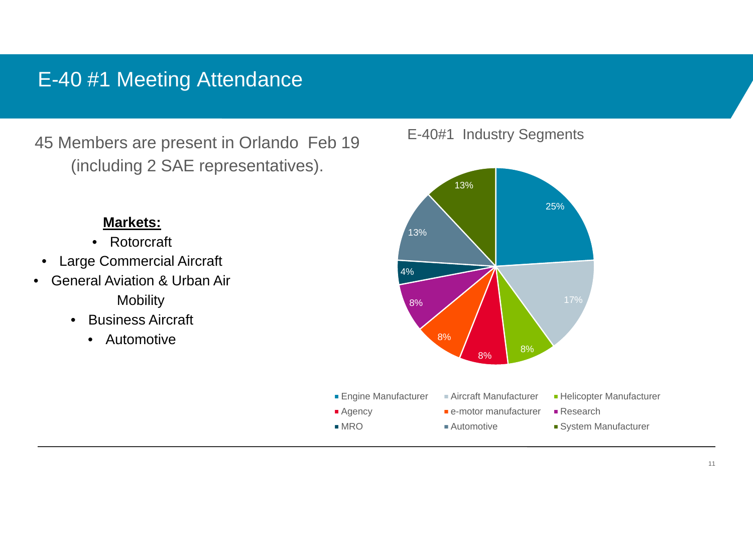## E-40 #1 Meeting Attendance

45 Members are present in Orlando Feb 19 (including 2 SAE representatives).

#### **Markets:**

- Rotorcraft
- •Large Commercial Aircraft
- • General Aviation & Urban Air **Mobility** 
	- • Business Aircraft
		- Automotive





- **Engine Manufacturer Aircraft Manufacturer Helicopter Manufacturer**
- Agency **e-motor manufacturer** Research
	-

■ MRO

- 
- 
- **Automotive Concernsive System Manufacturer**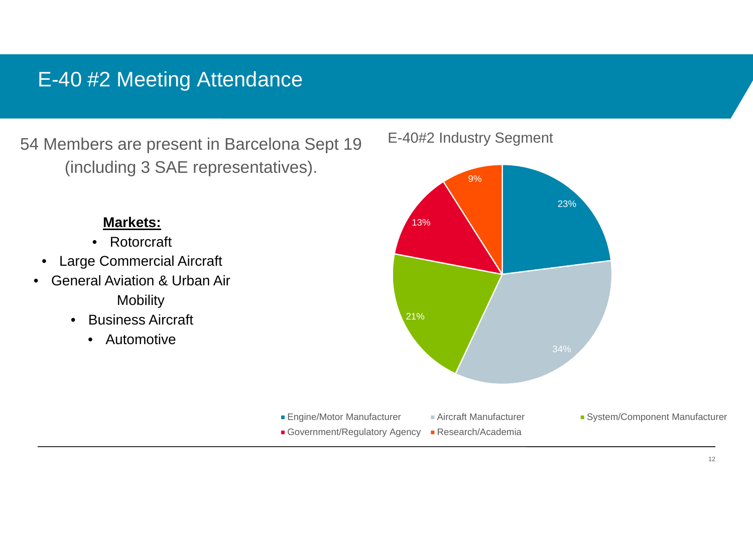## E-40 #2 Meeting Attendance

54 Members are present in Barcelona Sept 19 (including 3 SAE representatives).

#### **Markets:**

- Rotorcraft
- •Large Commercial Aircraft
- • General Aviation & Urban Air **Mobility** 
	- • Business Aircraft
		- Automotive

#### E-40#2 Industry Segment

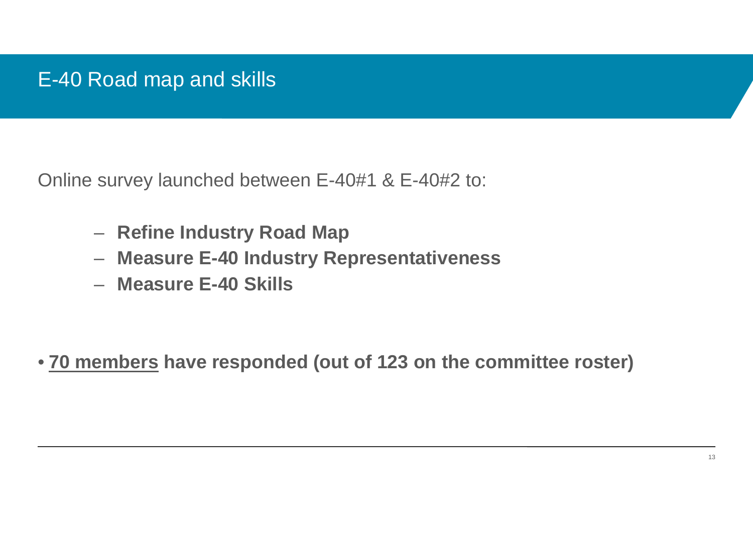## E-40 Road map and skills

Online survey launched between E-40#1 & E-40#2 to:

- **Refine Industry Road Map**
- **Measure E-40 Industry Representativeness**
- **Measure E-40 Skills**

• **70 members have responded (out of 123 on the committee roster)**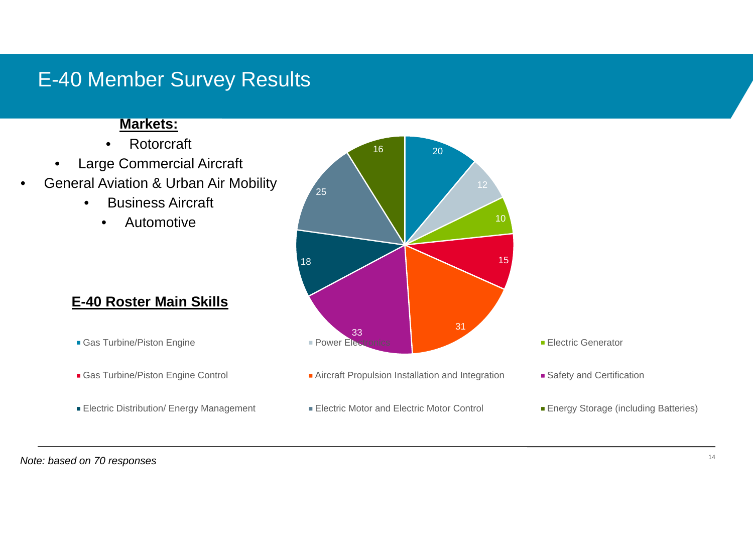#### **Markets:**

- •Rotorcraft
- •Large Commercial Aircraft
- • General Aviation & Urban Air Mobility
	- • Business Aircraft
		- •Automotive

#### **E-40 Roster Main Skills**

- 
- 
- Electric Distribution/ Energy Management Electric Motor and Electric Motor Control **Energy Storage (including Batteries)**



*Note: based on 70 responses*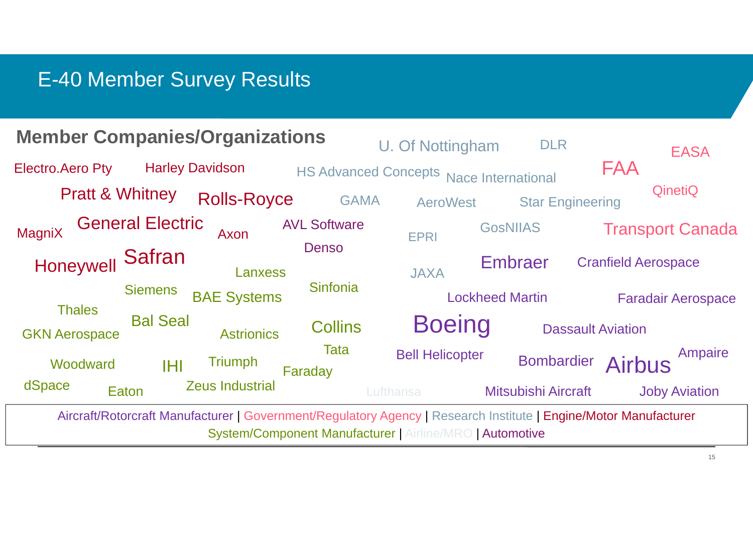#### **Member Companies/Organizations Boeing** Airbus Safran **Collins** Pratt & Whitney Honeywell General Electric LanxessU. Of Nottingham Lockheed MartinBal Seal **GosNIIAS** EatonEmbraerFaradair Aerospace Transport Canada Joby Aviation GAMAThalesCranfield Aerospace HS Advanced Concepts <sub>Nace International</sub> **Astrionics** Rolls-Royce GAMA AeroWest Star Engineering QinetiQ FAAAVL SoftwareEPRIBAE Systems dSpace IHIDLR**Woodward** AxonAeroWestDassault AviationTriumph JAXAElectro.Aero Pty Faraday **Tata** Harley Davidson Star Engineering Ampaire **MagniX** Bell Helicopter SinfoniaGKN Aerospace **Zeus Industrial Aircraft Aircraft Aircraft Aircraft** DensoEASABombardier Siemens Aircraft/Rotorcraft Manufacturer | Government/Regulatory Agency | Research Institute | Engine/Motor Manufacturer System/Component Manufacturer | Airline/MRO | Automotive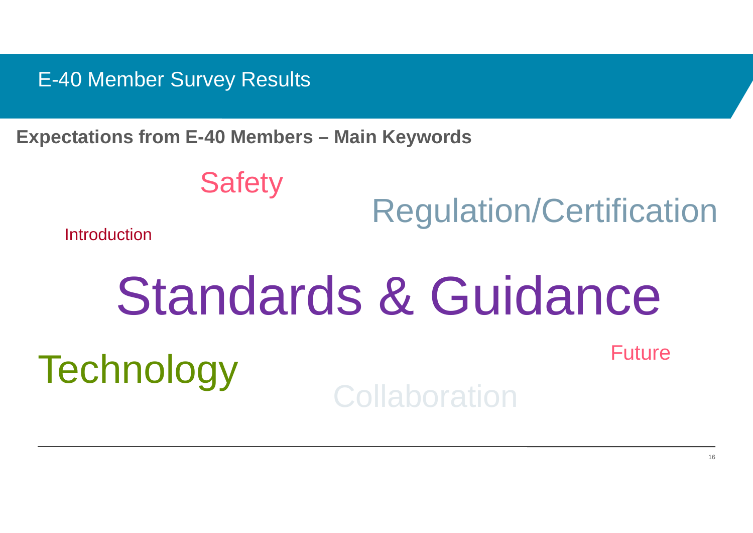**Expectations from E-40 Members – Main Keywords**

**Safety** 

# Regulation/Certification

**Introduction** 

# Standards & Guidance

**Technology** 

Future

**Collaboration**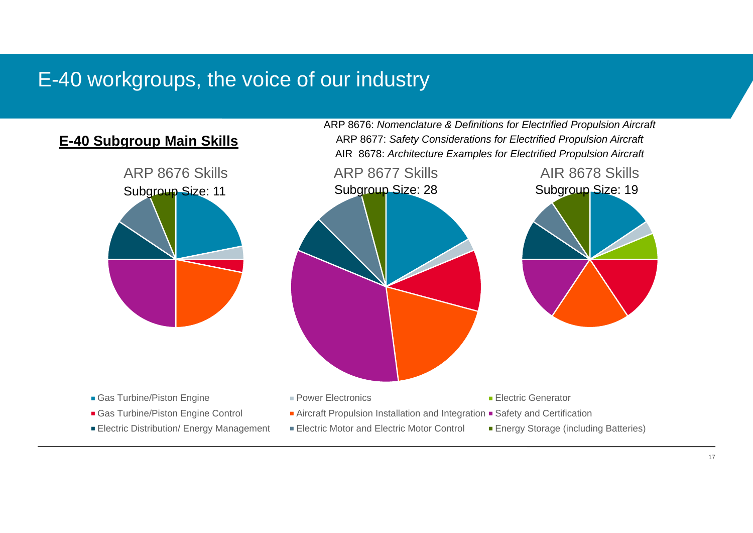## E-40 workgroups, the voice of our industry

#### **E-40 Subgroup Main Skills**



ARP 8676: *Nomenclature & Definitions for Electrified Propulsion Aircraft* ARP 8677: *Safety Considerations for Electrified Propulsion Aircraft*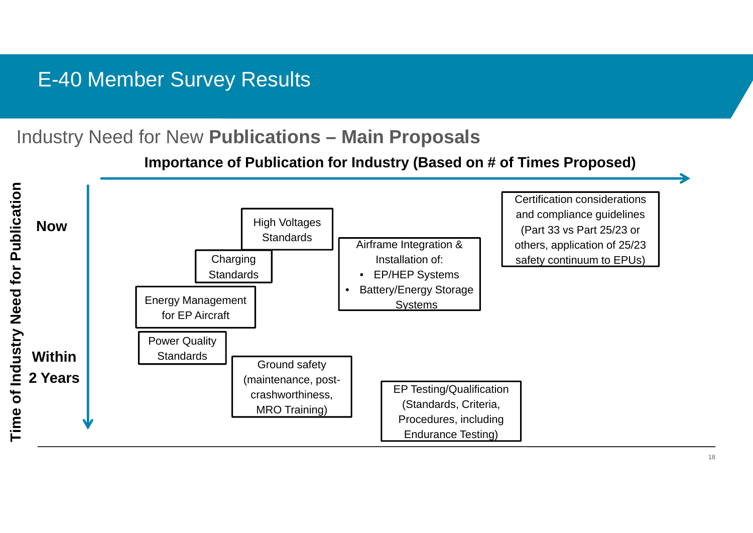### Industry Need for New **Publications – Main Proposals**

**Importance of Publication for Industry (Based on # of Times Proposed)** Certification considerations and compliance guidelines (Part 33 vs Part 25/23 or others, application of 25/23 Airframe Integration & High Voltages Standards

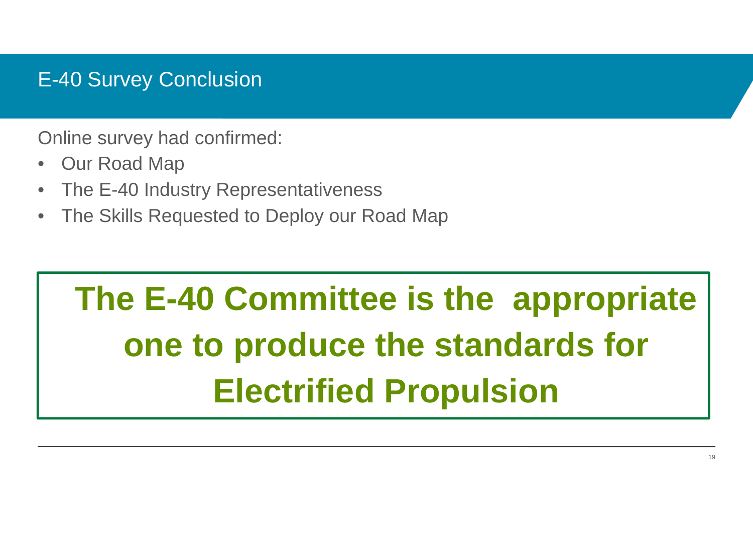## E-40 Survey Conclusion

Online survey had confirmed:

- •Our Road Map
- •The E-40 Industry Representativeness
- •The Skills Requested to Deploy our Road Map

# **The E-40 Committee is the appropriate one to produce the standards for Electrified Propulsion**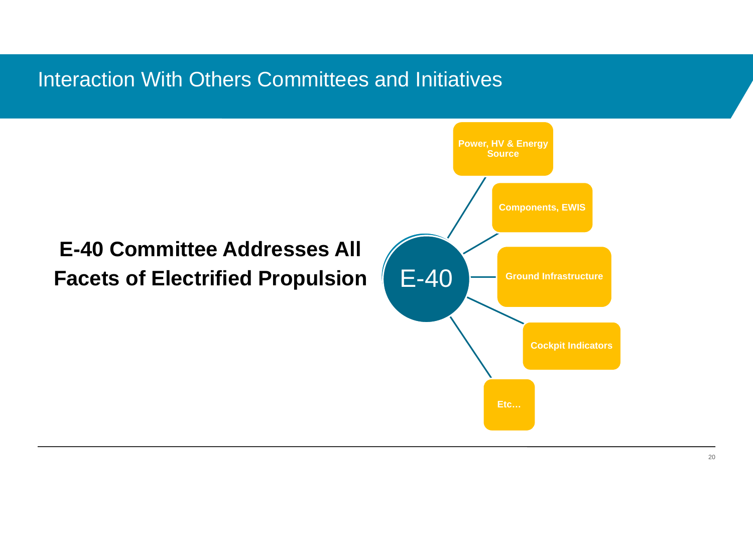### Interaction With Others Committees and Initiatives

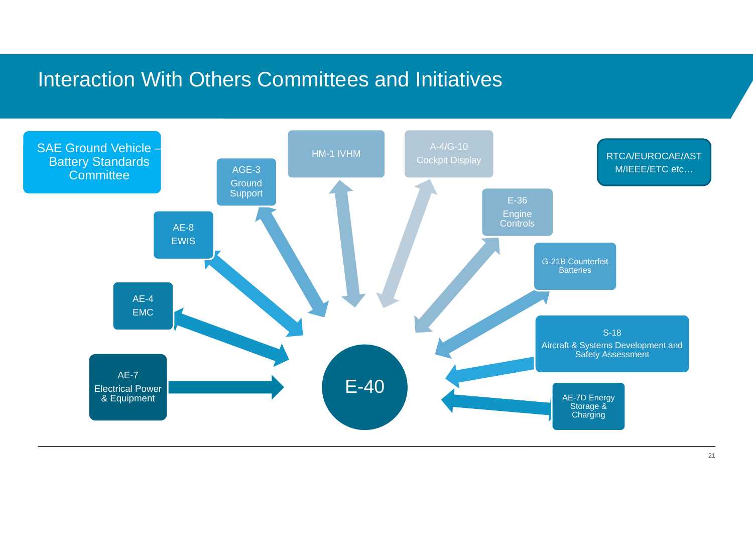### Interaction With Others Committees and Initiatives

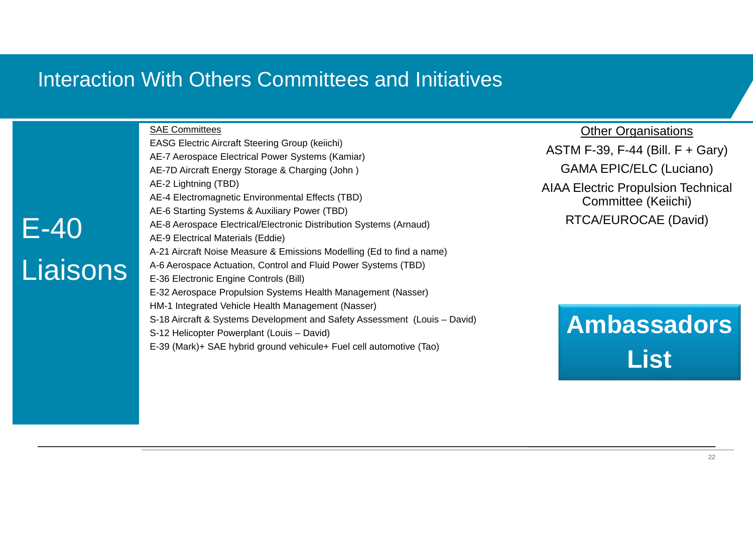### Interaction With Others Committees and Initiatives

SAE Committees

E-40

**Liaisons** 

EASG Electric Aircraft Steering Group (keiichi) AE-7 Aerospace Electrical Power Systems (Kamiar) AE-7D Aircraft Energy Storage & Charging (John ) AE-2 Lightning (TBD) AE-4 Electromagnetic Environmental Effects (TBD) AE-6 Starting Systems & Auxiliary Power (TBD) AE-8 Aerospace Electrical/Electronic Distribution Systems (Arnaud) AE-9 Electrical Materials (Eddie) A-21 Aircraft Noise Measure & Emissions Modelling (Ed to find a name) A-6 Aerospace Actuation, Control and Fluid Power Systems (TBD)

E-36 Electronic Engine Controls (Bill)

E-32 Aerospace Propulsion Systems Health Management (Nasser)

HM-1 Integrated Vehicle Health Management (Nasser)

S-18 Aircraft & Systems Development and Safety Assessment (Louis – David)

S-12 Helicopter Powerplant (Louis – David)

E-39 (Mark)+ SAE hybrid ground vehicule+ Fuel cell automotive (Tao)

Other Organisations

ASTM F-39, F-44 (Bill. F + Gary)

GAMA EPIC/ELC (Luciano)

AIAA Electric Propulsion Technical Committee (Keiichi)

RTCA/EUROCAE (David)

## **Ambassadors List**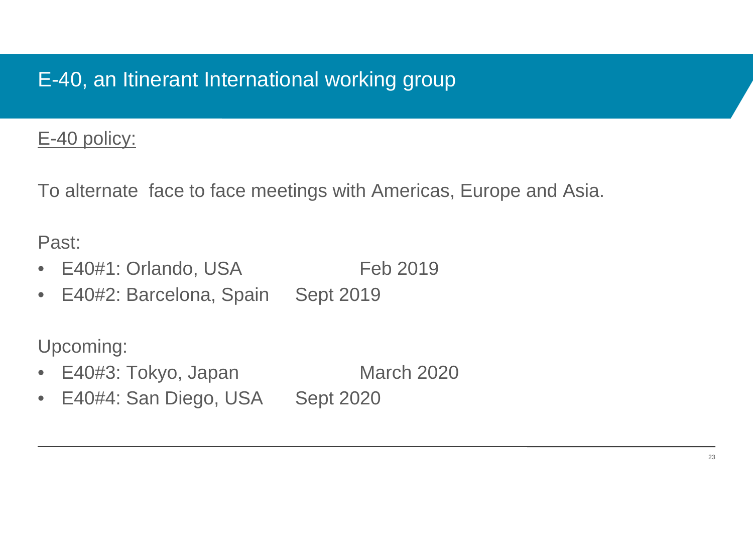## E-40, an Itinerant International working group

## E-40 policy:

To alternate face to face meetings with Americas, Europe and Asia.

Past:

- $\bullet$ E40#1: Orlando, USA Feb 2019
- $\bullet$ E40#2: Barcelona, Spain Sept 2019

Upcoming:

- $\bullet$ E40#3: Tokyo, Japan March 2020
- $\bullet$ E40#4: San Diego, USA Sept 2020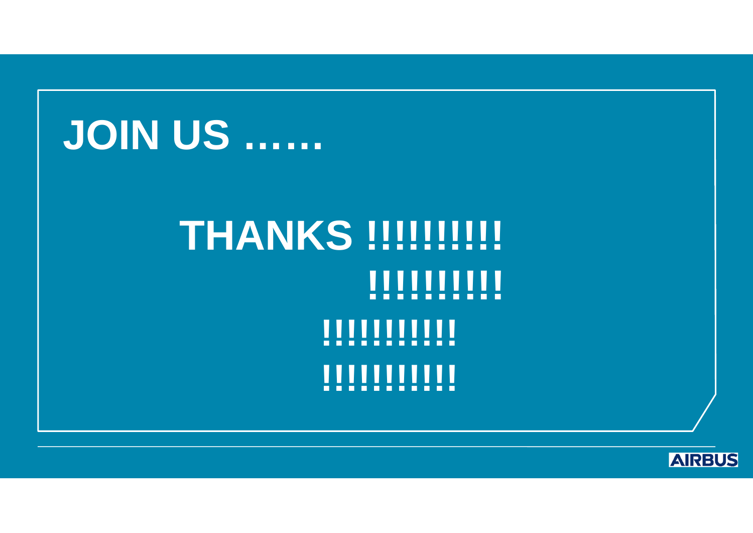# JOIN US ......

## **THANKS !!!!!!!!!!** !!!!!!!! W <u>!!!!!!!!!!!</u> <u>WWW.WW</u>